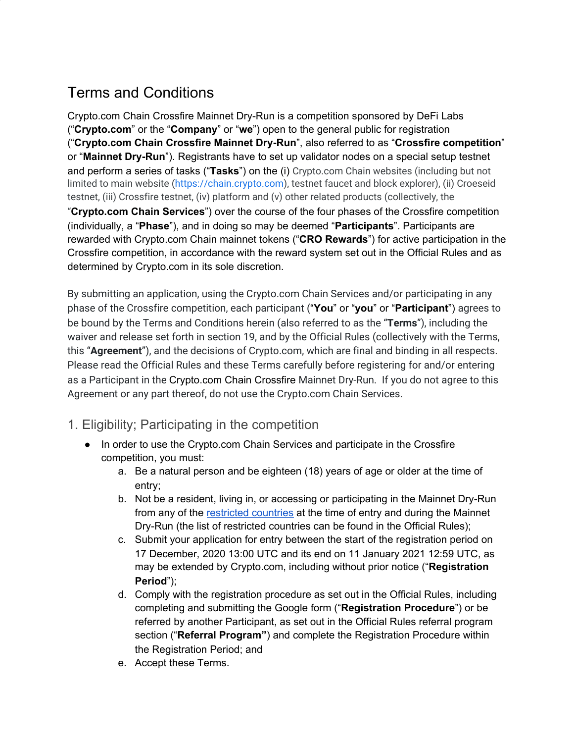# Terms and Conditions

Crypto.com Chain Crossfire Mainnet Dry-Run is a competition sponsored by DeFi Labs ("**Crypto.com**" or the "**Company**" or "**we**") open to the general public for registration ("**Crypto.com Chain Crossfire Mainnet Dry-Run**", also referred to as "**Crossfire competition**" or "**Mainnet Dry-Run**"). Registrants have to set up validator nodes on a special setup testnet and perform a series of tasks ("**Tasks**") on the (i) Crypto.com Chain websites (including but not limited to main website ([https://chain.crypto.com\)](https://chain.crypto.com/), testnet faucet and block explorer), (ii) Croeseid testnet, (iii) Crossfire testnet, (iv) platform and (v) other related products (collectively, the "**Crypto.com Chain Services**") over the course of the four phases of the Crossfire competition (individually, a "**Phase**"), and in doing so may be deemed "**Participants**". Participants are rewarded with Crypto.com Chain mainnet tokens ("**CRO Rewards**") for active participation in the Crossfire competition, in accordance with the reward system set out in the Official Rules and as determined by Crypto.com in its sole discretion.

By submitting an application, using the Crypto.com Chain Services and/or participating in any phase of the Crossfire competition, each participant ("**You**" or "**you**" or "**Participant**") agrees to be bound by the Terms and Conditions herein (also referred to as the "**Terms**"), including the waiver and release set forth in section 19, and by the Official Rules (collectively with the Terms, this "**Agreement**"), and the decisions of Crypto.com, which are final and binding in all respects. Please read the Official Rules and these Terms carefully before registering for and/or entering as a Participant in the Crypto.com Chain Crossfire Mainnet Dry-Run. If you do not agree to this Agreement or any part thereof, do not use the Crypto.com Chain Services.

- 1. Eligibility; Participating in the competition
	- In order to use the Crypto.com Chain Services and participate in the Crossfire competition, you must:
		- a. Be a natural person and be eighteen (18) years of age or older at the time of entry;
		- b. Not be a resident, living in, or accessing or participating in the Mainnet Dry-Run from any of the [restricted](https://chain.crypto.com/Crossfire_restricted_countries.pdf) countries at the time of entry and during the Mainnet Dry-Run (the list of restricted countries can be found in the Official Rules);
		- c. Submit your application for entry between the start of the registration period on 17 December, 2020 13:00 UTC and its end on 11 January 2021 12:59 UTC, as may be extended by Crypto.com, including without prior notice ("**Registration Period**");
		- d. Comply with the registration procedure as set out in the Official Rules, including completing and submitting the Google form ("**Registration Procedure**") or be referred by another Participant, as set out in the Official Rules referral program section ("**Referral Program"**) and complete the Registration Procedure within the Registration Period; and
		- e. Accept these Terms.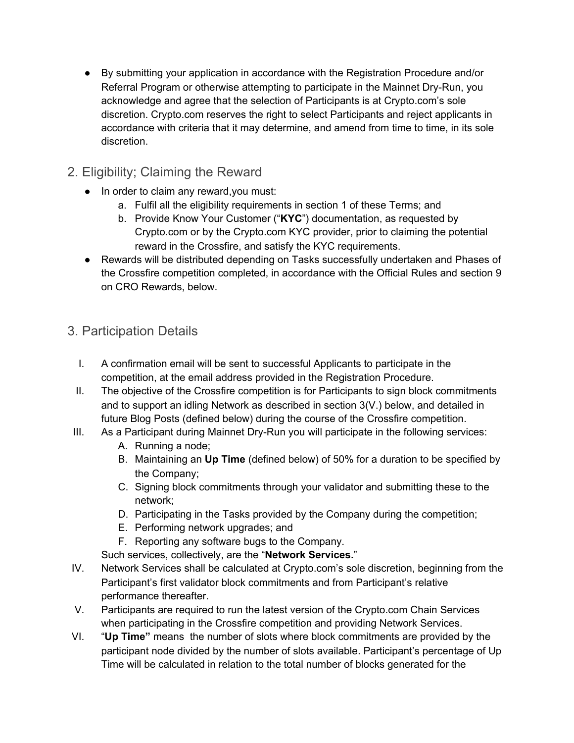● By submitting your application in accordance with the Registration Procedure and/or Referral Program or otherwise attempting to participate in the Mainnet Dry-Run, you acknowledge and agree that the selection of Participants is at Crypto.com's sole discretion. Crypto.com reserves the right to select Participants and reject applicants in accordance with criteria that it may determine, and amend from time to time, in its sole discretion.

# 2. Eligibility; Claiming the Reward

- In order to claim any reward, you must:
	- a. Fulfil all the eligibility requirements in section 1 of these Terms; and
	- b. Provide Know Your Customer ("**KYC**") documentation, as requested by Crypto.com or by the Crypto.com KYC provider, prior to claiming the potential reward in the Crossfire, and satisfy the KYC requirements.
- Rewards will be distributed depending on Tasks successfully undertaken and Phases of the Crossfire competition completed, in accordance with the Official Rules and section 9 on CRO Rewards, below.

# 3. Participation Details

- I. A confirmation email will be sent to successful Applicants to participate in the competition, at the email address provided in the Registration Procedure.
- II. The objective of the Crossfire competition is for Participants to sign block commitments and to support an idling Network as described in section 3(V.) below, and detailed in future Blog Posts (defined below) during the course of the Crossfire competition.
- III. As a Participant during Mainnet Dry-Run you will participate in the following services:
	- A. Running a node;
	- B. Maintaining an **Up Time** (defined below) of 50% for a duration to be specified by the Company;
	- C. Signing block commitments through your validator and submitting these to the network;
	- D. Participating in the Tasks provided by the Company during the competition;
	- E. Performing network upgrades; and
	- F. Reporting any software bugs to the Company.

Such services, collectively, are the "**Network Services.**"

- IV. Network Services shall be calculated at Crypto.com's sole discretion, beginning from the Participant's first validator block commitments and from Participant's relative performance thereafter.
- V. Participants are required to run the latest version of the Crypto.com Chain Services when participating in the Crossfire competition and providing Network Services.
- VI. "**Up Time"** means the number of slots where block commitments are provided by the participant node divided by the number of slots available. Participant's percentage of Up Time will be calculated in relation to the total number of blocks generated for the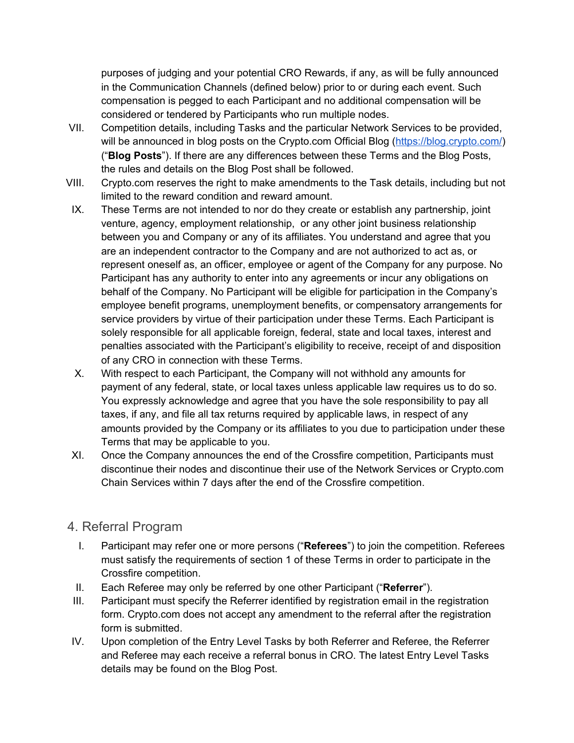purposes of judging and your potential CRO Rewards, if any, as will be fully announced in the Communication Channels (defined below) prior to or during each event. Such compensation is pegged to each Participant and no additional compensation will be considered or tendered by Participants who run multiple nodes.

- VII. Competition details, including Tasks and the particular Network Services to be provided, will be announced in blog posts on the Crypto.com Official Blog [\(https://blog.crypto.com/\)](https://blog.crypto.com/) ("**Blog Posts**"). If there are any differences between these Terms and the Blog Posts, the rules and details on the Blog Post shall be followed.
- VIII. Crypto.com reserves the right to make amendments to the Task details, including but not limited to the reward condition and reward amount.
- IX. These Terms are not intended to nor do they create or establish any partnership, joint venture, agency, employment relationship, or any other joint business relationship between you and Company or any of its affiliates. You understand and agree that you are an independent contractor to the Company and are not authorized to act as, or represent oneself as, an officer, employee or agent of the Company for any purpose. No Participant has any authority to enter into any agreements or incur any obligations on behalf of the Company. No Participant will be eligible for participation in the Company's employee benefit programs, unemployment benefits, or compensatory arrangements for service providers by virtue of their participation under these Terms. Each Participant is solely responsible for all applicable foreign, federal, state and local taxes, interest and penalties associated with the Participant's eligibility to receive, receipt of and disposition of any CRO in connection with these Terms.
- X. With respect to each Participant, the Company will not withhold any amounts for payment of any federal, state, or local taxes unless applicable law requires us to do so. You expressly acknowledge and agree that you have the sole responsibility to pay all taxes, if any, and file all tax returns required by applicable laws, in respect of any amounts provided by the Company or its affiliates to you due to participation under these Terms that may be applicable to you.
- XI. Once the Company announces the end of the Crossfire competition, Participants must discontinue their nodes and discontinue their use of the Network Services or Crypto.com Chain Services within 7 days after the end of the Crossfire competition.

#### 4. Referral Program

- I. Participant may refer one or more persons ("**Referees**") to join the competition. Referees must satisfy the requirements of section 1 of these Terms in order to participate in the Crossfire competition.
- II. Each Referee may only be referred by one other Participant ("**Referrer**").
- III. Participant must specify the Referrer identified by registration email in the registration form. Crypto.com does not accept any amendment to the referral after the registration form is submitted.
- IV. Upon completion of the Entry Level Tasks by both Referrer and Referee, the Referrer and Referee may each receive a referral bonus in CRO. The latest Entry Level Tasks details may be found on the Blog Post.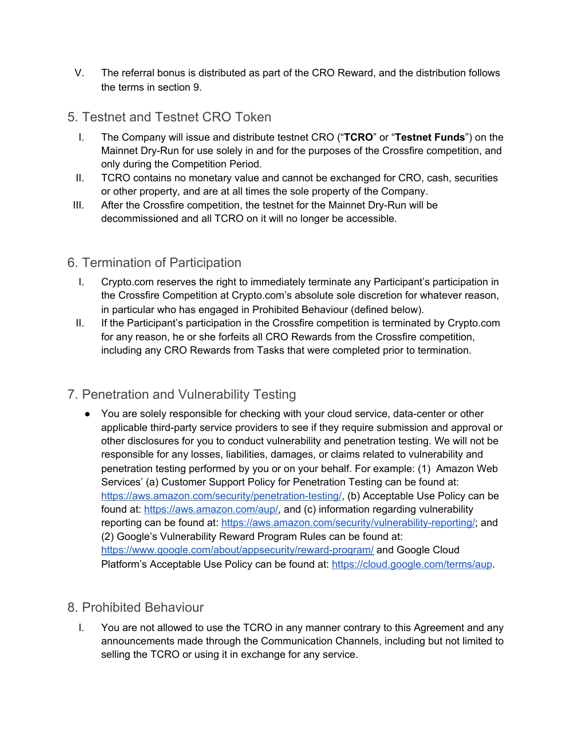- V. The referral bonus is distributed as part of the CRO Reward, and the distribution follows the terms in section 9.
- 5. Testnet and Testnet CRO Token
	- I. The Company will issue and distribute testnet CRO ("**TCRO**" or "**Testnet Funds**") on the Mainnet Dry-Run for use solely in and for the purposes of the Crossfire competition, and only during the Competition Period.
	- II. TCRO contains no monetary value and cannot be exchanged for CRO, cash, securities or other property, and are at all times the sole property of the Company.
- III. After the Crossfire competition, the testnet for the Mainnet Dry-Run will be decommissioned and all TCRO on it will no longer be accessible.

## 6. Termination of Participation

- I. Crypto.com reserves the right to immediately terminate any Participant's participation in the Crossfire Competition at Crypto.com's absolute sole discretion for whatever reason, in particular who has engaged in Prohibited Behaviour (defined below).
- II. If the Participant's participation in the Crossfire competition is terminated by Crypto.com for any reason, he or she forfeits all CRO Rewards from the Crossfire competition, including any CRO Rewards from Tasks that were completed prior to termination.

# 7. Penetration and Vulnerability Testing

• You are solely responsible for checking with your cloud service, data-center or other applicable third-party service providers to see if they require submission and approval or other disclosures for you to conduct vulnerability and penetration testing. We will not be responsible for any losses, liabilities, damages, or claims related to vulnerability and penetration testing performed by you or on your behalf. For example: (1) Amazon Web Services' (a) Customer Support Policy for Penetration Testing can be found at: <https://aws.amazon.com/security/penetration-testing/>, (b) Acceptable Use Policy can be found at: [https://aws.amazon.com/aup/,](https://aws.amazon.com/aup/) and (c) information regarding vulnerability reporting can be found at: [https://aws.amazon.com/security/vulnerability-reporting/;](https://aws.amazon.com/security/vulnerability-reporting/) and (2) Google's Vulnerability Reward Program Rules can be found at: <https://www.google.com/about/appsecurity/reward-program/> and Google Cloud Platform's Acceptable Use Policy can be found at: <https://cloud.google.com/terms/aup>.

# 8. Prohibited Behaviour

I. You are not allowed to use the TCRO in any manner contrary to this Agreement and any announcements made through the Communication Channels, including but not limited to selling the TCRO or using it in exchange for any service.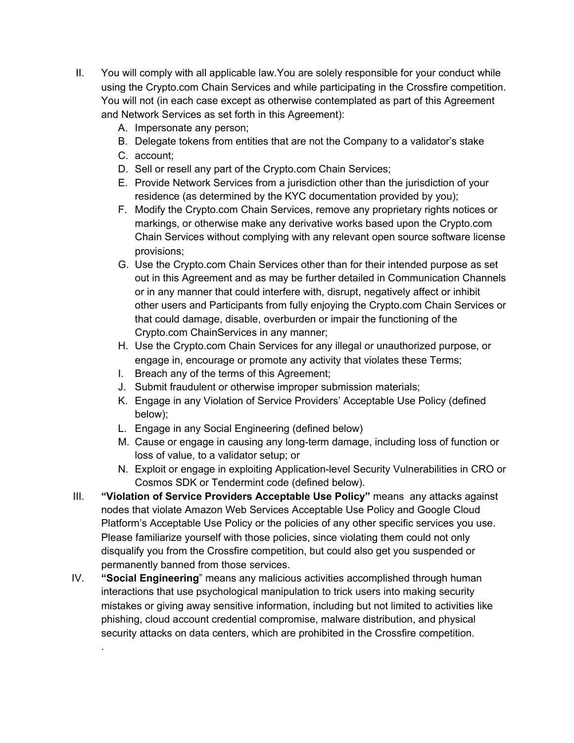- II. You will comply with all applicable law.You are solely responsible for your conduct while using the Crypto.com Chain Services and while participating in the Crossfire competition. You will not (in each case except as otherwise contemplated as part of this Agreement and Network Services as set forth in this Agreement):
	- A. Impersonate any person;
	- B. Delegate tokens from entities that are not the Company to a validator's stake
	- C. account;

.

- D. Sell or resell any part of the Crypto.com Chain Services;
- E. Provide Network Services from a jurisdiction other than the jurisdiction of your residence (as determined by the KYC documentation provided by you);
- F. Modify the Crypto.com Chain Services, remove any proprietary rights notices or markings, or otherwise make any derivative works based upon the Crypto.com Chain Services without complying with any relevant open source software license provisions;
- G. Use the Crypto.com Chain Services other than for their intended purpose as set out in this Agreement and as may be further detailed in Communication Channels or in any manner that could interfere with, disrupt, negatively affect or inhibit other users and Participants from fully enjoying the Crypto.com Chain Services or that could damage, disable, overburden or impair the functioning of the Crypto.com ChainServices in any manner;
- H. Use the Crypto.com Chain Services for any illegal or unauthorized purpose, or engage in, encourage or promote any activity that violates these Terms;
- I. Breach any of the terms of this Agreement;
- J. Submit fraudulent or otherwise improper submission materials;
- K. Engage in any Violation of Service Providers' Acceptable Use Policy (defined below);
- L. Engage in any Social Engineering (defined below)
- M. Cause or engage in causing any long-term damage, including loss of function or loss of value, to a validator setup; or
- N. Exploit or engage in exploiting Application-level Security Vulnerabilities in CRO or Cosmos SDK or Tendermint code (defined below).
- III. **"Violation of Service Providers Acceptable Use Policy"** means any attacks against nodes that violate Amazon Web Services Acceptable Use Policy and Google Cloud Platform's Acceptable Use Policy or the policies of any other specific services you use. Please familiarize yourself with those policies, since violating them could not only disqualify you from the Crossfire competition, but could also get you suspended or permanently banned from those services.
- IV. **"Social Engineering**" means any malicious activities accomplished through human interactions that use psychological manipulation to trick users into making security mistakes or giving away sensitive information, including but not limited to activities like phishing, cloud account credential compromise, malware distribution, and physical security attacks on data centers, which are prohibited in the Crossfire competition.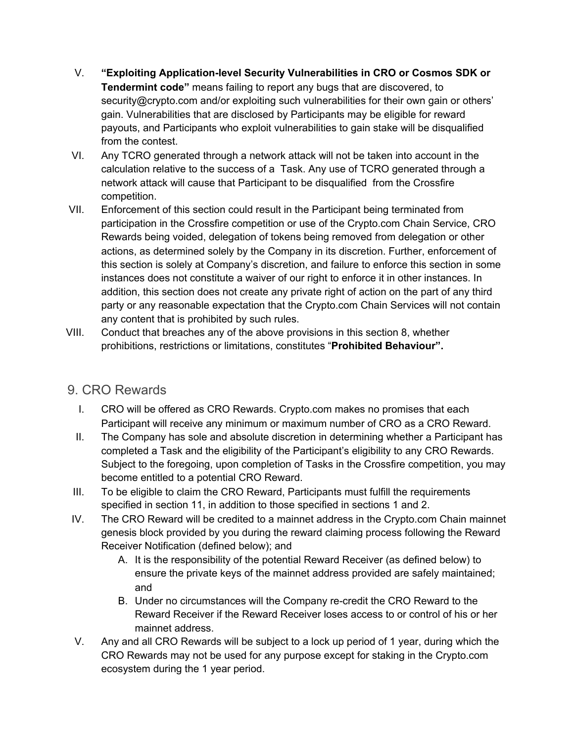- V. **"Exploiting Application-level Security Vulnerabilities in CRO or Cosmos SDK or Tendermint code"** means failing to report any bugs that are discovered, to security@crypto.com and/or exploiting such vulnerabilities for their own gain or others' gain. Vulnerabilities that are disclosed by Participants may be eligible for reward payouts, and Participants who exploit vulnerabilities to gain stake will be disqualified from the contest.
- VI. Any TCRO generated through a network attack will not be taken into account in the calculation relative to the success of a Task. Any use of TCRO generated through a network attack will cause that Participant to be disqualified from the Crossfire competition.
- VII. Enforcement of this section could result in the Participant being terminated from participation in the Crossfire competition or use of the Crypto.com Chain Service, CRO Rewards being voided, delegation of tokens being removed from delegation or other actions, as determined solely by the Company in its discretion. Further, enforcement of this section is solely at Company's discretion, and failure to enforce this section in some instances does not constitute a waiver of our right to enforce it in other instances. In addition, this section does not create any private right of action on the part of any third party or any reasonable expectation that the Crypto.com Chain Services will not contain any content that is prohibited by such rules.
- VIII. Conduct that breaches any of the above provisions in this section 8, whether prohibitions, restrictions or limitations, constitutes "**Prohibited Behaviour".**

## 9. CRO Rewards

- I. CRO will be offered as CRO Rewards. Crypto.com makes no promises that each Participant will receive any minimum or maximum number of CRO as a CRO Reward.
- II. The Company has sole and absolute discretion in determining whether a Participant has completed a Task and the eligibility of the Participant's eligibility to any CRO Rewards. Subject to the foregoing, upon completion of Tasks in the Crossfire competition, you may become entitled to a potential CRO Reward.
- III. To be eligible to claim the CRO Reward, Participants must fulfill the requirements specified in section 11, in addition to those specified in sections 1 and 2.
- IV. The CRO Reward will be credited to a mainnet address in the Crypto.com Chain mainnet genesis block provided by you during the reward claiming process following the Reward Receiver Notification (defined below); and
	- A. It is the responsibility of the potential Reward Receiver (as defined below) to ensure the private keys of the mainnet address provided are safely maintained; and
	- B. Under no circumstances will the Company re-credit the CRO Reward to the Reward Receiver if the Reward Receiver loses access to or control of his or her mainnet address.
- V. Any and all CRO Rewards will be subject to a lock up period of 1 year, during which the CRO Rewards may not be used for any purpose except for staking in the Crypto.com ecosystem during the 1 year period.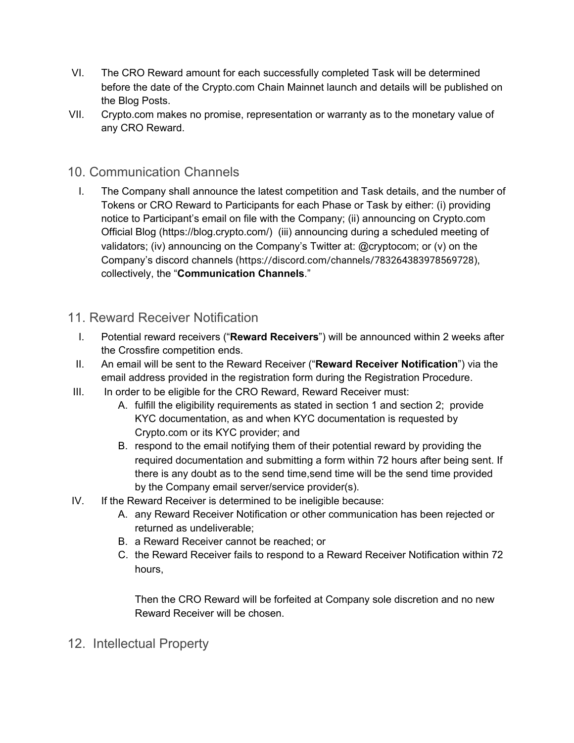- VI. The CRO Reward amount for each successfully completed Task will be determined before the date of the Crypto.com Chain Mainnet launch and details will be published on the Blog Posts.
- VII. Crypto.com makes no promise, representation or warranty as to the monetary value of any CRO Reward.

#### 10. Communication Channels

I. The Company shall announce the latest competition and Task details, and the number of Tokens or CRO Reward to Participants for each Phase or Task by either: (i) providing notice to Participant's email on file with the Company; (ii) announcing on Crypto.com Official Blog (https://blog.crypto.com/) (iii) announcing during a scheduled meeting of validators; (iv) announcing on the Company's Twitter at: @cryptocom; or (v) on the Company's discord channels (https://discord.com/channels/783264383978569728), collectively, the "**Communication Channels**."

#### 11. Reward Receiver Notification

- I. Potential reward receivers ("**Reward Receivers**") will be announced within 2 weeks after the Crossfire competition ends.
- II. An email will be sent to the Reward Receiver ("**Reward Receiver Notification**") via the email address provided in the registration form during the Registration Procedure.
- III. In order to be eligible for the CRO Reward, Reward Receiver must:
	- A. fulfill the eligibility requirements as stated in section 1 and section 2; provide KYC documentation, as and when KYC documentation is requested by Crypto.com or its KYC provider; and
	- B. respond to the email notifying them of their potential reward by providing the required documentation and submitting a form within 72 hours after being sent. If there is any doubt as to the send time,send time will be the send time provided by the Company email server/service provider(s).
- IV. If the Reward Receiver is determined to be ineligible because:
	- A. any Reward Receiver Notification or other communication has been rejected or returned as undeliverable;
	- B. a Reward Receiver cannot be reached; or
	- C. the Reward Receiver fails to respond to a Reward Receiver Notification within 72 hours,

Then the CRO Reward will be forfeited at Company sole discretion and no new Reward Receiver will be chosen.

12. Intellectual Property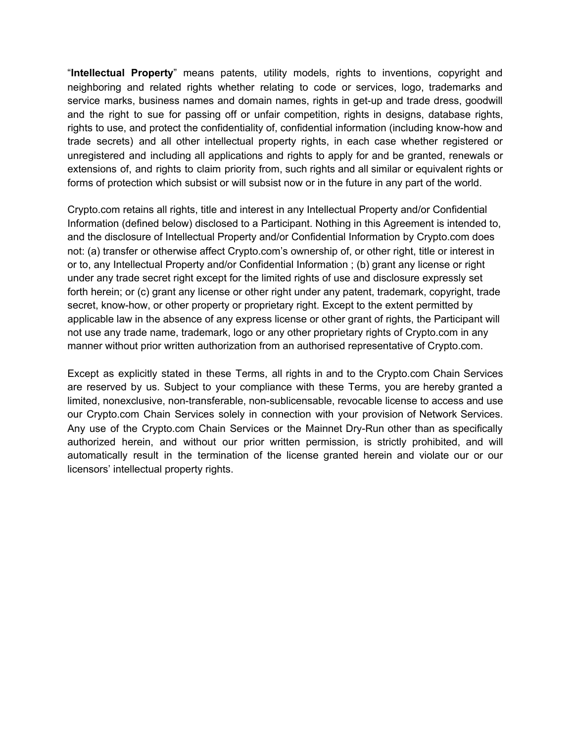"**Intellectual Property**" means patents, utility models, rights to inventions, copyright and neighboring and related rights whether relating to code or services, logo, trademarks and service marks, business names and domain names, rights in get-up and trade dress, goodwill and the right to sue for passing off or unfair competition, rights in designs, database rights, rights to use, and protect the confidentiality of, confidential information (including know-how and trade secrets) and all other intellectual property rights, in each case whether registered or unregistered and including all applications and rights to apply for and be granted, renewals or extensions of, and rights to claim priority from, such rights and all similar or equivalent rights or forms of protection which subsist or will subsist now or in the future in any part of the world.

Crypto.com retains all rights, title and interest in any Intellectual Property and/or Confidential Information (defined below) disclosed to a Participant. Nothing in this Agreement is intended to, and the disclosure of Intellectual Property and/or Confidential Information by Crypto.com does not: (a) transfer or otherwise affect Crypto.com's ownership of, or other right, title or interest in or to, any Intellectual Property and/or Confidential Information ; (b) grant any license or right under any trade secret right except for the limited rights of use and disclosure expressly set forth herein; or (c) grant any license or other right under any patent, trademark, copyright, trade secret, know-how, or other property or proprietary right. Except to the extent permitted by applicable law in the absence of any express license or other grant of rights, the Participant will not use any trade name, trademark, logo or any other proprietary rights of Crypto.com in any manner without prior written authorization from an authorised representative of Crypto.com.

Except as explicitly stated in these Terms, all rights in and to the Crypto.com Chain Services are reserved by us. Subject to your compliance with these Terms, you are hereby granted a limited, nonexclusive, non-transferable, non-sublicensable, revocable license to access and use our Crypto.com Chain Services solely in connection with your provision of Network Services. Any use of the Crypto.com Chain Services or the Mainnet Dry-Run other than as specifically authorized herein, and without our prior written permission, is strictly prohibited, and will automatically result in the termination of the license granted herein and violate our or our licensors' intellectual property rights.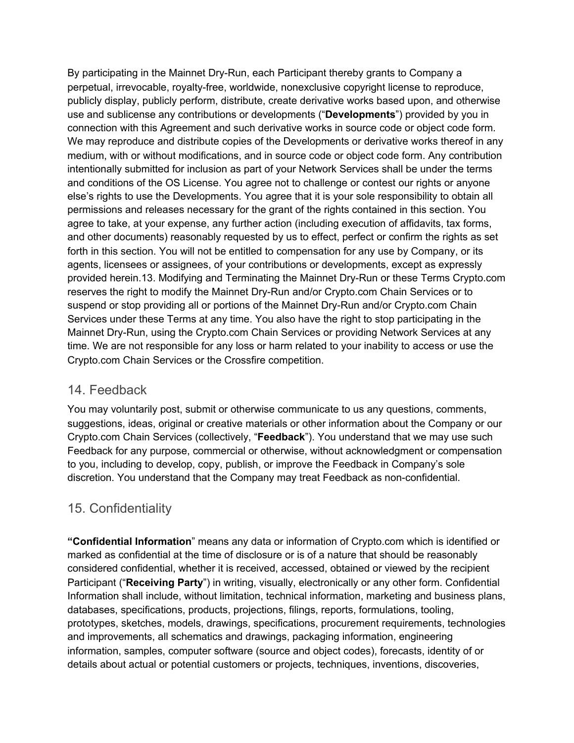By participating in the Mainnet Dry-Run, each Participant thereby grants to Company a perpetual, irrevocable, royalty-free, worldwide, nonexclusive copyright license to reproduce, publicly display, publicly perform, distribute, create derivative works based upon, and otherwise use and sublicense any contributions or developments ("**Developments**") provided by you in connection with this Agreement and such derivative works in source code or object code form. We may reproduce and distribute copies of the Developments or derivative works thereof in any medium, with or without modifications, and in source code or object code form. Any contribution intentionally submitted for inclusion as part of your Network Services shall be under the terms and conditions of the OS License. You agree not to challenge or contest our rights or anyone else's rights to use the Developments. You agree that it is your sole responsibility to obtain all permissions and releases necessary for the grant of the rights contained in this section. You agree to take, at your expense, any further action (including execution of affidavits, tax forms, and other documents) reasonably requested by us to effect, perfect or confirm the rights as set forth in this section. You will not be entitled to compensation for any use by Company, or its agents, licensees or assignees, of your contributions or developments, except as expressly provided herein.13. Modifying and Terminating the Mainnet Dry-Run or these Terms Crypto.com reserves the right to modify the Mainnet Dry-Run and/or Crypto.com Chain Services or to suspend or stop providing all or portions of the Mainnet Dry-Run and/or Crypto.com Chain Services under these Terms at any time. You also have the right to stop participating in the Mainnet Dry-Run, using the Crypto.com Chain Services or providing Network Services at any time. We are not responsible for any loss or harm related to your inability to access or use the Crypto.com Chain Services or the Crossfire competition.

#### 14. Feedback

You may voluntarily post, submit or otherwise communicate to us any questions, comments, suggestions, ideas, original or creative materials or other information about the Company or our Crypto.com Chain Services (collectively, "**Feedback**"). You understand that we may use such Feedback for any purpose, commercial or otherwise, without acknowledgment or compensation to you, including to develop, copy, publish, or improve the Feedback in Company's sole discretion. You understand that the Company may treat Feedback as non-confidential.

## 15. Confidentiality

**"Confidential Information**" means any data or information of Crypto.com which is identified or marked as confidential at the time of disclosure or is of a nature that should be reasonably considered confidential, whether it is received, accessed, obtained or viewed by the recipient Participant ("**Receiving Party**") in writing, visually, electronically or any other form. Confidential Information shall include, without limitation, technical information, marketing and business plans, databases, specifications, products, projections, filings, reports, formulations, tooling, prototypes, sketches, models, drawings, specifications, procurement requirements, technologies and improvements, all schematics and drawings, packaging information, engineering information, samples, computer software (source and object codes), forecasts, identity of or details about actual or potential customers or projects, techniques, inventions, discoveries,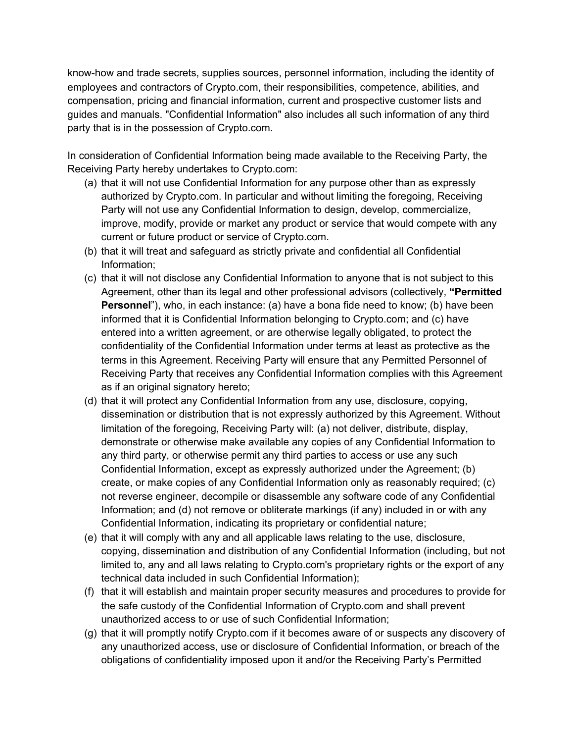know-how and trade secrets, supplies sources, personnel information, including the identity of employees and contractors of Crypto.com, their responsibilities, competence, abilities, and compensation, pricing and financial information, current and prospective customer lists and guides and manuals. "Confidential Information" also includes all such information of any third party that is in the possession of Crypto.com.

In consideration of Confidential Information being made available to the Receiving Party, the Receiving Party hereby undertakes to Crypto.com:

- (a) that it will not use Confidential Information for any purpose other than as expressly authorized by Crypto.com. In particular and without limiting the foregoing, Receiving Party will not use any Confidential Information to design, develop, commercialize, improve, modify, provide or market any product or service that would compete with any current or future product or service of Crypto.com.
- (b) that it will treat and safeguard as strictly private and confidential all Confidential Information;
- (c) that it will not disclose any Confidential Information to anyone that is not subject to this Agreement, other than its legal and other professional advisors (collectively, **"Permitted Personnel**"), who, in each instance: (a) have a bona fide need to know; (b) have been informed that it is Confidential Information belonging to Crypto.com; and (c) have entered into a written agreement, or are otherwise legally obligated, to protect the confidentiality of the Confidential Information under terms at least as protective as the terms in this Agreement. Receiving Party will ensure that any Permitted Personnel of Receiving Party that receives any Confidential Information complies with this Agreement as if an original signatory hereto;
- (d) that it will protect any Confidential Information from any use, disclosure, copying, dissemination or distribution that is not expressly authorized by this Agreement. Without limitation of the foregoing, Receiving Party will: (a) not deliver, distribute, display, demonstrate or otherwise make available any copies of any Confidential Information to any third party, or otherwise permit any third parties to access or use any such Confidential Information, except as expressly authorized under the Agreement; (b) create, or make copies of any Confidential Information only as reasonably required; (c) not reverse engineer, decompile or disassemble any software code of any Confidential Information; and (d) not remove or obliterate markings (if any) included in or with any Confidential Information, indicating its proprietary or confidential nature;
- (e) that it will comply with any and all applicable laws relating to the use, disclosure, copying, dissemination and distribution of any Confidential Information (including, but not limited to, any and all laws relating to Crypto.com's proprietary rights or the export of any technical data included in such Confidential Information);
- (f) that it will establish and maintain proper security measures and procedures to provide for the safe custody of the Confidential Information of Crypto.com and shall prevent unauthorized access to or use of such Confidential Information;
- (g) that it will promptly notify Crypto.com if it becomes aware of or suspects any discovery of any unauthorized access, use or disclosure of Confidential Information, or breach of the obligations of confidentiality imposed upon it and/or the Receiving Party's Permitted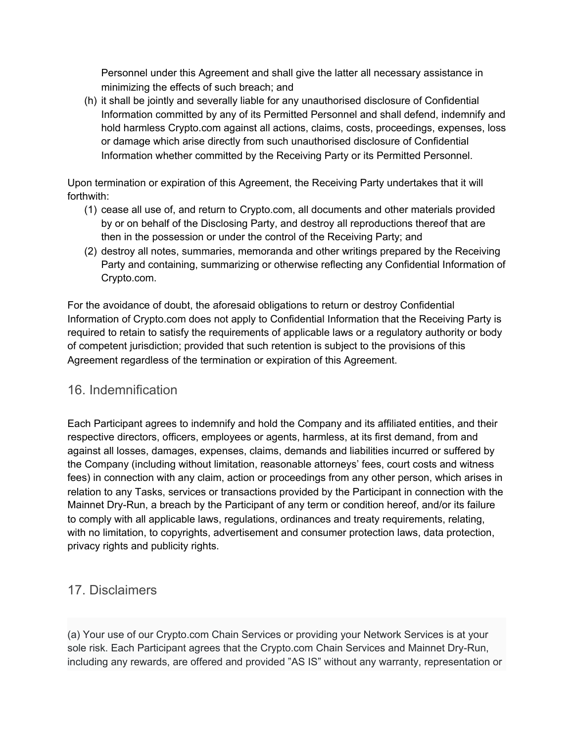Personnel under this Agreement and shall give the latter all necessary assistance in minimizing the effects of such breach; and

(h) it shall be jointly and severally liable for any unauthorised disclosure of Confidential Information committed by any of its Permitted Personnel and shall defend, indemnify and hold harmless Crypto.com against all actions, claims, costs, proceedings, expenses, loss or damage which arise directly from such unauthorised disclosure of Confidential Information whether committed by the Receiving Party or its Permitted Personnel.

Upon termination or expiration of this Agreement, the Receiving Party undertakes that it will forthwith:

- (1) cease all use of, and return to Crypto.com, all documents and other materials provided by or on behalf of the Disclosing Party, and destroy all reproductions thereof that are then in the possession or under the control of the Receiving Party; and
- (2) destroy all notes, summaries, memoranda and other writings prepared by the Receiving Party and containing, summarizing or otherwise reflecting any Confidential Information of Crypto.com.

For the avoidance of doubt, the aforesaid obligations to return or destroy Confidential Information of Crypto.com does not apply to Confidential Information that the Receiving Party is required to retain to satisfy the requirements of applicable laws or a regulatory authority or body of competent jurisdiction; provided that such retention is subject to the provisions of this Agreement regardless of the termination or expiration of this Agreement.

## 16. Indemnification

Each Participant agrees to indemnify and hold the Company and its affiliated entities, and their respective directors, officers, employees or agents, harmless, at its first demand, from and against all losses, damages, expenses, claims, demands and liabilities incurred or suffered by the Company (including without limitation, reasonable attorneys' fees, court costs and witness fees) in connection with any claim, action or proceedings from any other person, which arises in relation to any Tasks, services or transactions provided by the Participant in connection with the Mainnet Dry-Run, a breach by the Participant of any term or condition hereof, and/or its failure to comply with all applicable laws, regulations, ordinances and treaty requirements, relating, with no limitation, to copyrights, advertisement and consumer protection laws, data protection, privacy rights and publicity rights.

## 17. Disclaimers

(a) Your use of our Crypto.com Chain Services or providing your Network Services is at your sole risk. Each Participant agrees that the Crypto.com Chain Services and Mainnet Dry-Run, including any rewards, are offered and provided "AS IS" without any warranty, representation or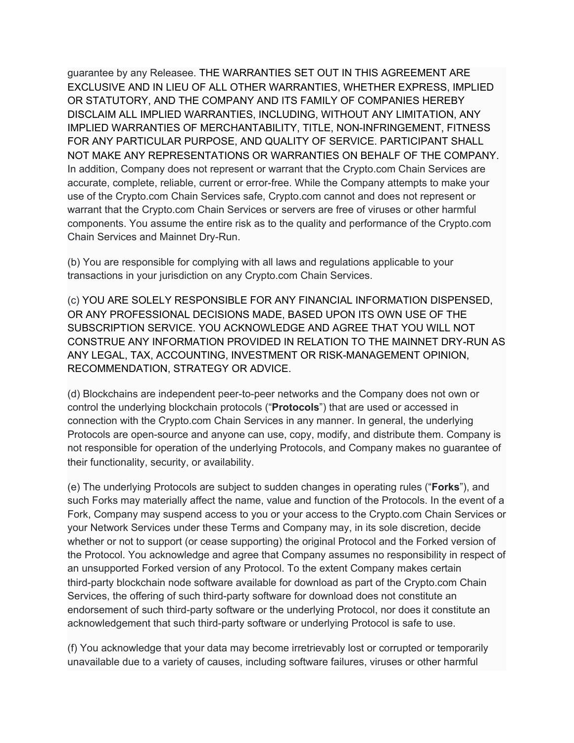guarantee by any Releasee. THE WARRANTIES SET OUT IN THIS AGREEMENT ARE EXCLUSIVE AND IN LIEU OF ALL OTHER WARRANTIES, WHETHER EXPRESS, IMPLIED OR STATUTORY, AND THE COMPANY AND ITS FAMILY OF COMPANIES HEREBY DISCLAIM ALL IMPLIED WARRANTIES, INCLUDING, WITHOUT ANY LIMITATION, ANY IMPLIED WARRANTIES OF MERCHANTABILITY, TITLE, NON-INFRINGEMENT, FITNESS FOR ANY PARTICULAR PURPOSE, AND QUALITY OF SERVICE. PARTICIPANT SHALL NOT MAKE ANY REPRESENTATIONS OR WARRANTIES ON BEHALF OF THE COMPANY. In addition, Company does not represent or warrant that the Crypto.com Chain Services are accurate, complete, reliable, current or error-free. While the Company attempts to make your use of the Crypto.com Chain Services safe, Crypto.com cannot and does not represent or warrant that the Crypto.com Chain Services or servers are free of viruses or other harmful components. You assume the entire risk as to the quality and performance of the Crypto.com Chain Services and Mainnet Dry-Run.

(b) You are responsible for complying with all laws and regulations applicable to your transactions in your jurisdiction on any Crypto.com Chain Services.

(c) YOU ARE SOLELY RESPONSIBLE FOR ANY FINANCIAL INFORMATION DISPENSED, OR ANY PROFESSIONAL DECISIONS MADE, BASED UPON ITS OWN USE OF THE SUBSCRIPTION SERVICE. YOU ACKNOWLEDGE AND AGREE THAT YOU WILL NOT CONSTRUE ANY INFORMATION PROVIDED IN RELATION TO THE MAINNET DRY-RUN AS ANY LEGAL, TAX, ACCOUNTING, INVESTMENT OR RISK-MANAGEMENT OPINION, RECOMMENDATION, STRATEGY OR ADVICE.

(d) Blockchains are independent peer-to-peer networks and the Company does not own or control the underlying blockchain protocols ("**Protocols**") that are used or accessed in connection with the Crypto.com Chain Services in any manner. In general, the underlying Protocols are open-source and anyone can use, copy, modify, and distribute them. Company is not responsible for operation of the underlying Protocols, and Company makes no guarantee of their functionality, security, or availability.

(e) The underlying Protocols are subject to sudden changes in operating rules ("**Forks**"), and such Forks may materially affect the name, value and function of the Protocols. In the event of a Fork, Company may suspend access to you or your access to the Crypto.com Chain Services or your Network Services under these Terms and Company may, in its sole discretion, decide whether or not to support (or cease supporting) the original Protocol and the Forked version of the Protocol. You acknowledge and agree that Company assumes no responsibility in respect of an unsupported Forked version of any Protocol. To the extent Company makes certain third-party blockchain node software available for download as part of the Crypto.com Chain Services, the offering of such third-party software for download does not constitute an endorsement of such third-party software or the underlying Protocol, nor does it constitute an acknowledgement that such third-party software or underlying Protocol is safe to use.

(f) You acknowledge that your data may become irretrievably lost or corrupted or temporarily unavailable due to a variety of causes, including software failures, viruses or other harmful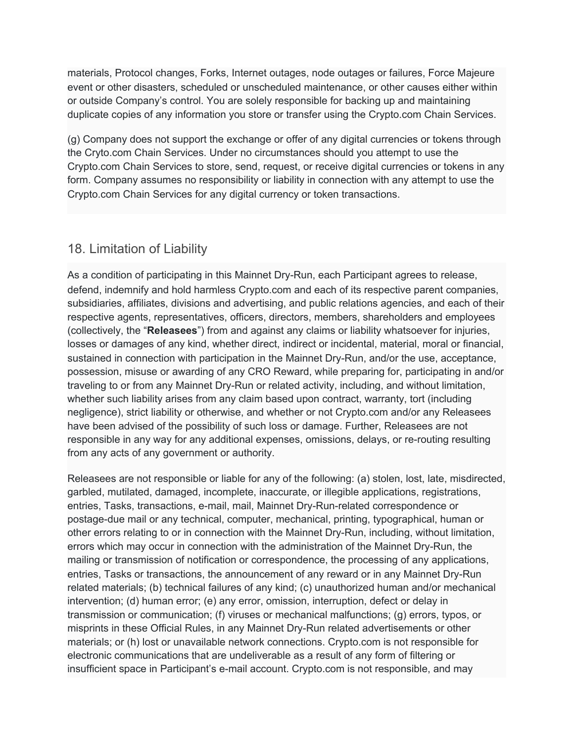materials, Protocol changes, Forks, Internet outages, node outages or failures, Force Majeure event or other disasters, scheduled or unscheduled maintenance, or other causes either within or outside Company's control. You are solely responsible for backing up and maintaining duplicate copies of any information you store or transfer using the Crypto.com Chain Services.

(g) Company does not support the exchange or offer of any digital currencies or tokens through the Cryto.com Chain Services. Under no circumstances should you attempt to use the Crypto.com Chain Services to store, send, request, or receive digital currencies or tokens in any form. Company assumes no responsibility or liability in connection with any attempt to use the Crypto.com Chain Services for any digital currency or token transactions.

## 18. Limitation of Liability

As a condition of participating in this Mainnet Dry-Run, each Participant agrees to release, defend, indemnify and hold harmless Crypto.com and each of its respective parent companies, subsidiaries, affiliates, divisions and advertising, and public relations agencies, and each of their respective agents, representatives, officers, directors, members, shareholders and employees (collectively, the "**Releasees**") from and against any claims or liability whatsoever for injuries, losses or damages of any kind, whether direct, indirect or incidental, material, moral or financial, sustained in connection with participation in the Mainnet Dry-Run, and/or the use, acceptance, possession, misuse or awarding of any CRO Reward, while preparing for, participating in and/or traveling to or from any Mainnet Dry-Run or related activity, including, and without limitation, whether such liability arises from any claim based upon contract, warranty, tort (including negligence), strict liability or otherwise, and whether or not Crypto.com and/or any Releasees have been advised of the possibility of such loss or damage. Further, Releasees are not responsible in any way for any additional expenses, omissions, delays, or re-routing resulting from any acts of any government or authority.

Releasees are not responsible or liable for any of the following: (a) stolen, lost, late, misdirected, garbled, mutilated, damaged, incomplete, inaccurate, or illegible applications, registrations, entries, Tasks, transactions, e-mail, mail, Mainnet Dry-Run-related correspondence or postage-due mail or any technical, computer, mechanical, printing, typographical, human or other errors relating to or in connection with the Mainnet Dry-Run, including, without limitation, errors which may occur in connection with the administration of the Mainnet Dry-Run, the mailing or transmission of notification or correspondence, the processing of any applications, entries, Tasks or transactions, the announcement of any reward or in any Mainnet Dry-Run related materials; (b) technical failures of any kind; (c) unauthorized human and/or mechanical intervention; (d) human error; (e) any error, omission, interruption, defect or delay in transmission or communication; (f) viruses or mechanical malfunctions; (g) errors, typos, or misprints in these Official Rules, in any Mainnet Dry-Run related advertisements or other materials; or (h) lost or unavailable network connections. Crypto.com is not responsible for electronic communications that are undeliverable as a result of any form of filtering or insufficient space in Participant's e-mail account. Crypto.com is not responsible, and may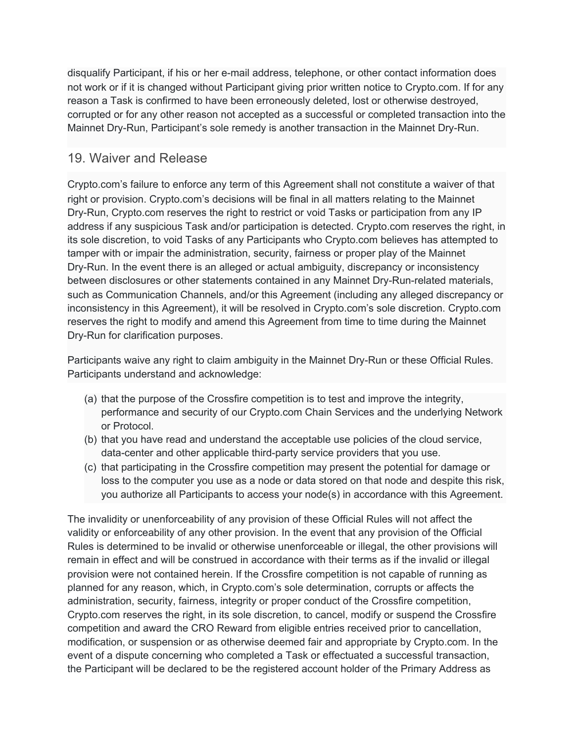disqualify Participant, if his or her e-mail address, telephone, or other contact information does not work or if it is changed without Participant giving prior written notice to Crypto.com. If for any reason a Task is confirmed to have been erroneously deleted, lost or otherwise destroyed, corrupted or for any other reason not accepted as a successful or completed transaction into the Mainnet Dry-Run, Participant's sole remedy is another transaction in the Mainnet Dry-Run.

#### 19. Waiver and Release

Crypto.com's failure to enforce any term of this Agreement shall not constitute a waiver of that right or provision. Crypto.com's decisions will be final in all matters relating to the Mainnet Dry-Run, Crypto.com reserves the right to restrict or void Tasks or participation from any IP address if any suspicious Task and/or participation is detected. Crypto.com reserves the right, in its sole discretion, to void Tasks of any Participants who Crypto.com believes has attempted to tamper with or impair the administration, security, fairness or proper play of the Mainnet Dry-Run. In the event there is an alleged or actual ambiguity, discrepancy or inconsistency between disclosures or other statements contained in any Mainnet Dry-Run-related materials, such as Communication Channels, and/or this Agreement (including any alleged discrepancy or inconsistency in this Agreement), it will be resolved in Crypto.com's sole discretion. Crypto.com reserves the right to modify and amend this Agreement from time to time during the Mainnet Dry-Run for clarification purposes.

Participants waive any right to claim ambiguity in the Mainnet Dry-Run or these Official Rules. Participants understand and acknowledge:

- (a) that the purpose of the Crossfire competition is to test and improve the integrity, performance and security of our Crypto.com Chain Services and the underlying Network or Protocol.
- (b) that you have read and understand the acceptable use policies of the cloud service, data-center and other applicable third-party service providers that you use.
- (c) that participating in the Crossfire competition may present the potential for damage or loss to the computer you use as a node or data stored on that node and despite this risk, you authorize all Participants to access your node(s) in accordance with this Agreement.

The invalidity or unenforceability of any provision of these Official Rules will not affect the validity or enforceability of any other provision. In the event that any provision of the Official Rules is determined to be invalid or otherwise unenforceable or illegal, the other provisions will remain in effect and will be construed in accordance with their terms as if the invalid or illegal provision were not contained herein. If the Crossfire competition is not capable of running as planned for any reason, which, in Crypto.com's sole determination, corrupts or affects the administration, security, fairness, integrity or proper conduct of the Crossfire competition, Crypto.com reserves the right, in its sole discretion, to cancel, modify or suspend the Crossfire competition and award the CRO Reward from eligible entries received prior to cancellation, modification, or suspension or as otherwise deemed fair and appropriate by Crypto.com. In the event of a dispute concerning who completed a Task or effectuated a successful transaction, the Participant will be declared to be the registered account holder of the Primary Address as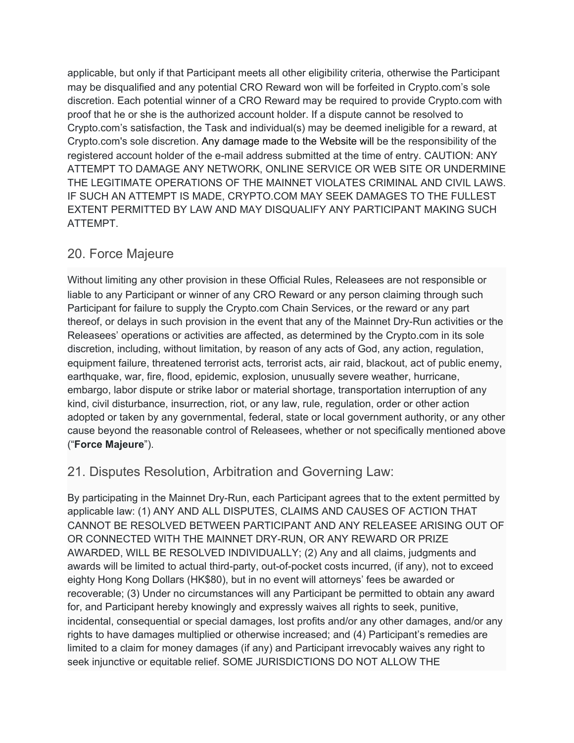applicable, but only if that Participant meets all other eligibility criteria, otherwise the Participant may be disqualified and any potential CRO Reward won will be forfeited in Crypto.com's sole discretion. Each potential winner of a CRO Reward may be required to provide Crypto.com with proof that he or she is the authorized account holder. If a dispute cannot be resolved to Crypto.com's satisfaction, the Task and individual(s) may be deemed ineligible for a reward, at Crypto.com's sole discretion. Any damage made to the Website will be the responsibility of the registered account holder of the e-mail address submitted at the time of entry. CAUTION: ANY ATTEMPT TO DAMAGE ANY NETWORK, ONLINE SERVICE OR WEB SITE OR UNDERMINE THE LEGITIMATE OPERATIONS OF THE MAINNET VIOLATES CRIMINAL AND CIVIL LAWS. IF SUCH AN ATTEMPT IS MADE, CRYPTO.COM MAY SEEK DAMAGES TO THE FULLEST EXTENT PERMITTED BY LAW AND MAY DISQUALIFY ANY PARTICIPANT MAKING SUCH ATTEMPT.

# 20. Force Majeure

Without limiting any other provision in these Official Rules, Releasees are not responsible or liable to any Participant or winner of any CRO Reward or any person claiming through such Participant for failure to supply the Crypto.com Chain Services, or the reward or any part thereof, or delays in such provision in the event that any of the Mainnet Dry-Run activities or the Releasees' operations or activities are affected, as determined by the Crypto.com in its sole discretion, including, without limitation, by reason of any acts of God, any action, regulation, equipment failure, threatened terrorist acts, terrorist acts, air raid, blackout, act of public enemy, earthquake, war, fire, flood, epidemic, explosion, unusually severe weather, hurricane, embargo, labor dispute or strike labor or material shortage, transportation interruption of any kind, civil disturbance, insurrection, riot, or any law, rule, regulation, order or other action adopted or taken by any governmental, federal, state or local government authority, or any other cause beyond the reasonable control of Releasees, whether or not specifically mentioned above ("**Force Majeure**").

## 21. Disputes Resolution, Arbitration and Governing Law:

By participating in the Mainnet Dry-Run, each Participant agrees that to the extent permitted by applicable law: (1) ANY AND ALL DISPUTES, CLAIMS AND CAUSES OF ACTION THAT CANNOT BE RESOLVED BETWEEN PARTICIPANT AND ANY RELEASEE ARISING OUT OF OR CONNECTED WITH THE MAINNET DRY-RUN, OR ANY REWARD OR PRIZE AWARDED, WILL BE RESOLVED INDIVIDUALLY; (2) Any and all claims, judgments and awards will be limited to actual third-party, out-of-pocket costs incurred, (if any), not to exceed eighty Hong Kong Dollars (HK\$80), but in no event will attorneys' fees be awarded or recoverable; (3) Under no circumstances will any Participant be permitted to obtain any award for, and Participant hereby knowingly and expressly waives all rights to seek, punitive, incidental, consequential or special damages, lost profits and/or any other damages, and/or any rights to have damages multiplied or otherwise increased; and (4) Participant's remedies are limited to a claim for money damages (if any) and Participant irrevocably waives any right to seek injunctive or equitable relief. SOME JURISDICTIONS DO NOT ALLOW THE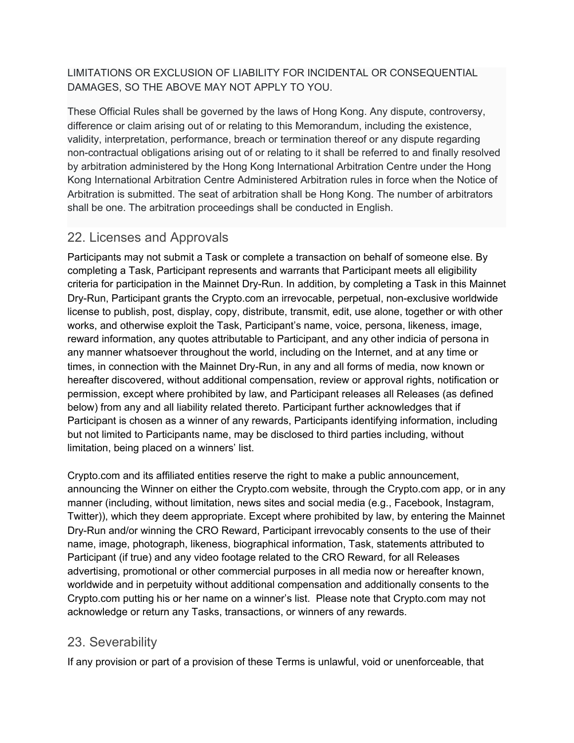#### LIMITATIONS OR EXCLUSION OF LIABILITY FOR INCIDENTAL OR CONSEQUENTIAL DAMAGES, SO THE ABOVE MAY NOT APPLY TO YOU.

These Official Rules shall be governed by the laws of Hong Kong. Any dispute, controversy, difference or claim arising out of or relating to this Memorandum, including the existence, validity, interpretation, performance, breach or termination thereof or any dispute regarding non-contractual obligations arising out of or relating to it shall be referred to and finally resolved by arbitration administered by the Hong Kong International Arbitration Centre under the Hong Kong International Arbitration Centre Administered Arbitration rules in force when the Notice of Arbitration is submitted. The seat of arbitration shall be Hong Kong. The number of arbitrators shall be one. The arbitration proceedings shall be conducted in English.

#### 22. Licenses and Approvals

Participants may not submit a Task or complete a transaction on behalf of someone else. By completing a Task, Participant represents and warrants that Participant meets all eligibility criteria for participation in the Mainnet Dry-Run. In addition, by completing a Task in this Mainnet Dry-Run, Participant grants the Crypto.com an irrevocable, perpetual, non-exclusive worldwide license to publish, post, display, copy, distribute, transmit, edit, use alone, together or with other works, and otherwise exploit the Task, Participant's name, voice, persona, likeness, image, reward information, any quotes attributable to Participant, and any other indicia of persona in any manner whatsoever throughout the world, including on the Internet, and at any time or times, in connection with the Mainnet Dry-Run, in any and all forms of media, now known or hereafter discovered, without additional compensation, review or approval rights, notification or permission, except where prohibited by law, and Participant releases all Releases (as defined below) from any and all liability related thereto. Participant further acknowledges that if Participant is chosen as a winner of any rewards, Participants identifying information, including but not limited to Participants name, may be disclosed to third parties including, without limitation, being placed on a winners' list.

Crypto.com and its affiliated entities reserve the right to make a public announcement, announcing the Winner on either the Crypto.com website, through the Crypto.com app, or in any manner (including, without limitation, news sites and social media (e.g., Facebook, Instagram, Twitter)), which they deem appropriate. Except where prohibited by law, by entering the Mainnet Dry-Run and/or winning the CRO Reward, Participant irrevocably consents to the use of their name, image, photograph, likeness, biographical information, Task, statements attributed to Participant (if true) and any video footage related to the CRO Reward, for all Releases advertising, promotional or other commercial purposes in all media now or hereafter known, worldwide and in perpetuity without additional compensation and additionally consents to the Crypto.com putting his or her name on a winner's list. Please note that Crypto.com may not acknowledge or return any Tasks, transactions, or winners of any rewards.

## 23. Severability

If any provision or part of a provision of these Terms is unlawful, void or unenforceable, that